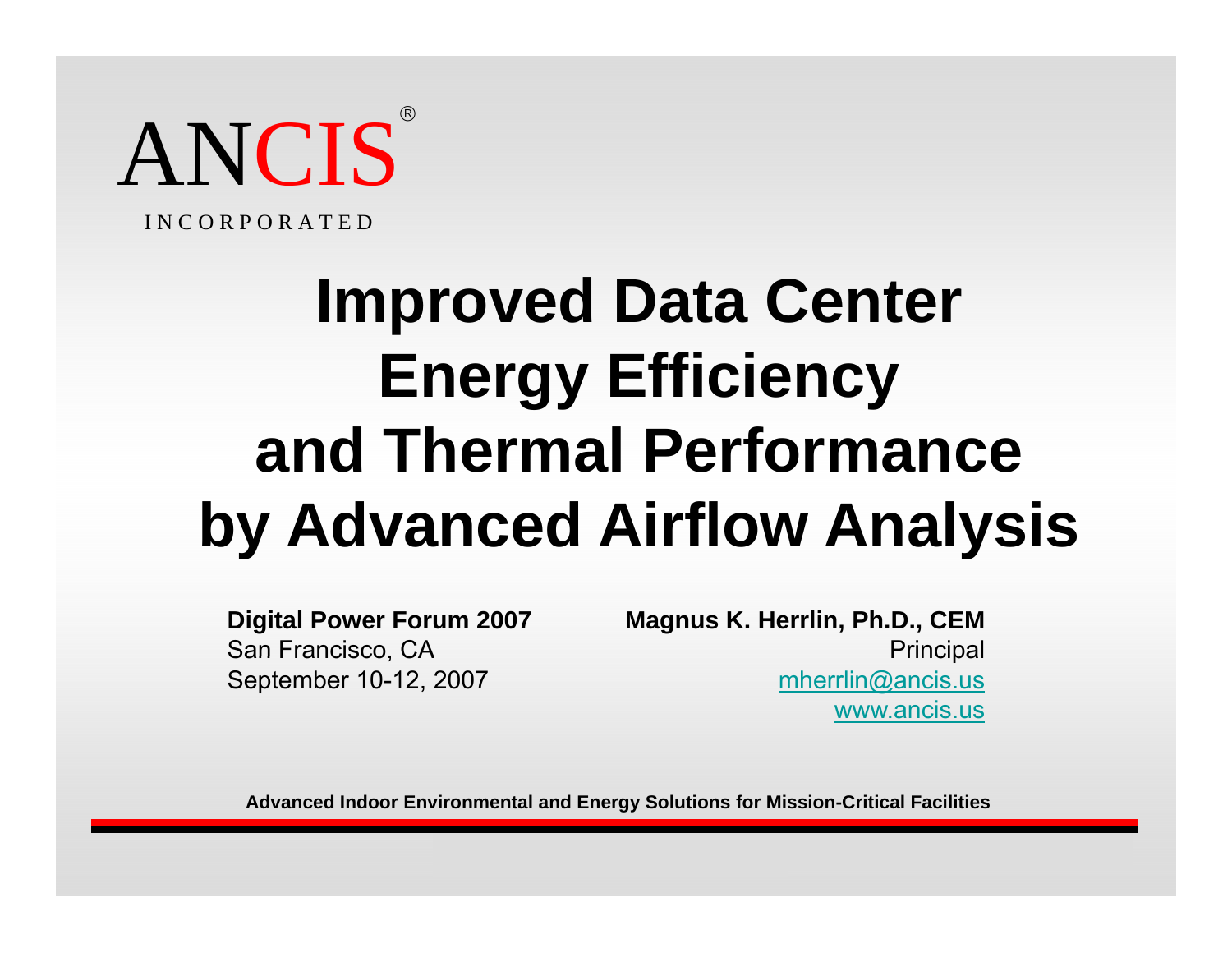

I N C O R P O R A T E D

# **Improved Data Center Energy Efficiency and Thermal Performanceby Advanced Airflow Analysis**

**Digital Power Forum 2007** San Francisco, CA September 10-12, 2007

**Magnus K. Herrlin, Ph.D., CEM Principal** mherrlin@ancis.us www.ancis.us

Copyright (c) 2007 by ANCIS Inc. 1

**Advanced Indoor Environmental and Energy Solutions for Mission-Critical Facilities**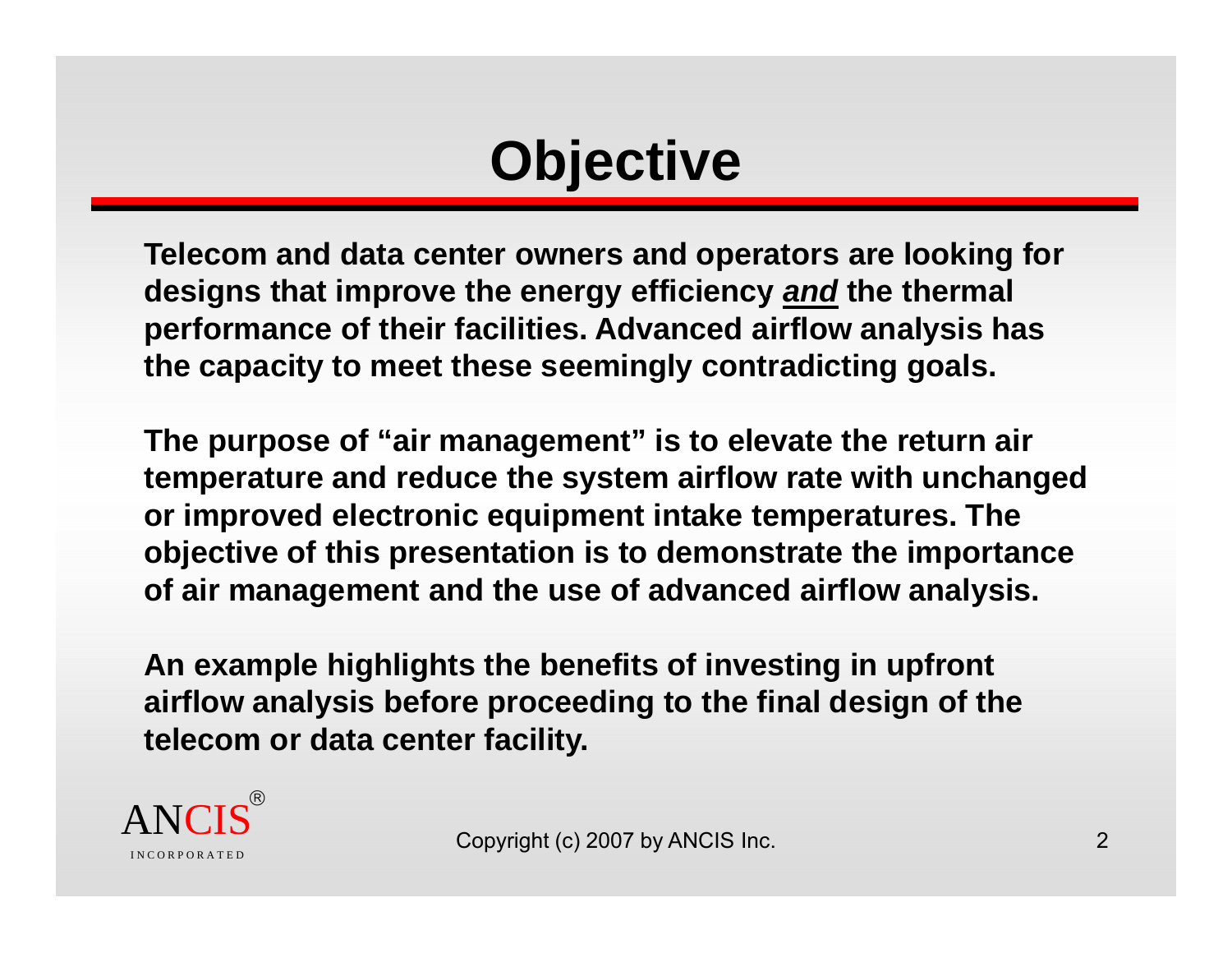# **Objective**

**Telecom and data center owners and operators are looking for designs that improve the energy efficiency** *and* **the thermal performance of their facilities. Advanced airflow analysis has the capacity to meet these seemingly contradicting goals.** 

**The purpose of "air management" is to elevate the return air temperature and reduce the system airflow rate with unchanged or improved electronic equipment intake temperatures. The objective of this presentation is to demonstrate the importance of air management and the use of advanced airflow analysis.** 

An example highlights the benefits of investing in upfront **airflow analysis before proceeding to the final design of the telecom or data center facility.**

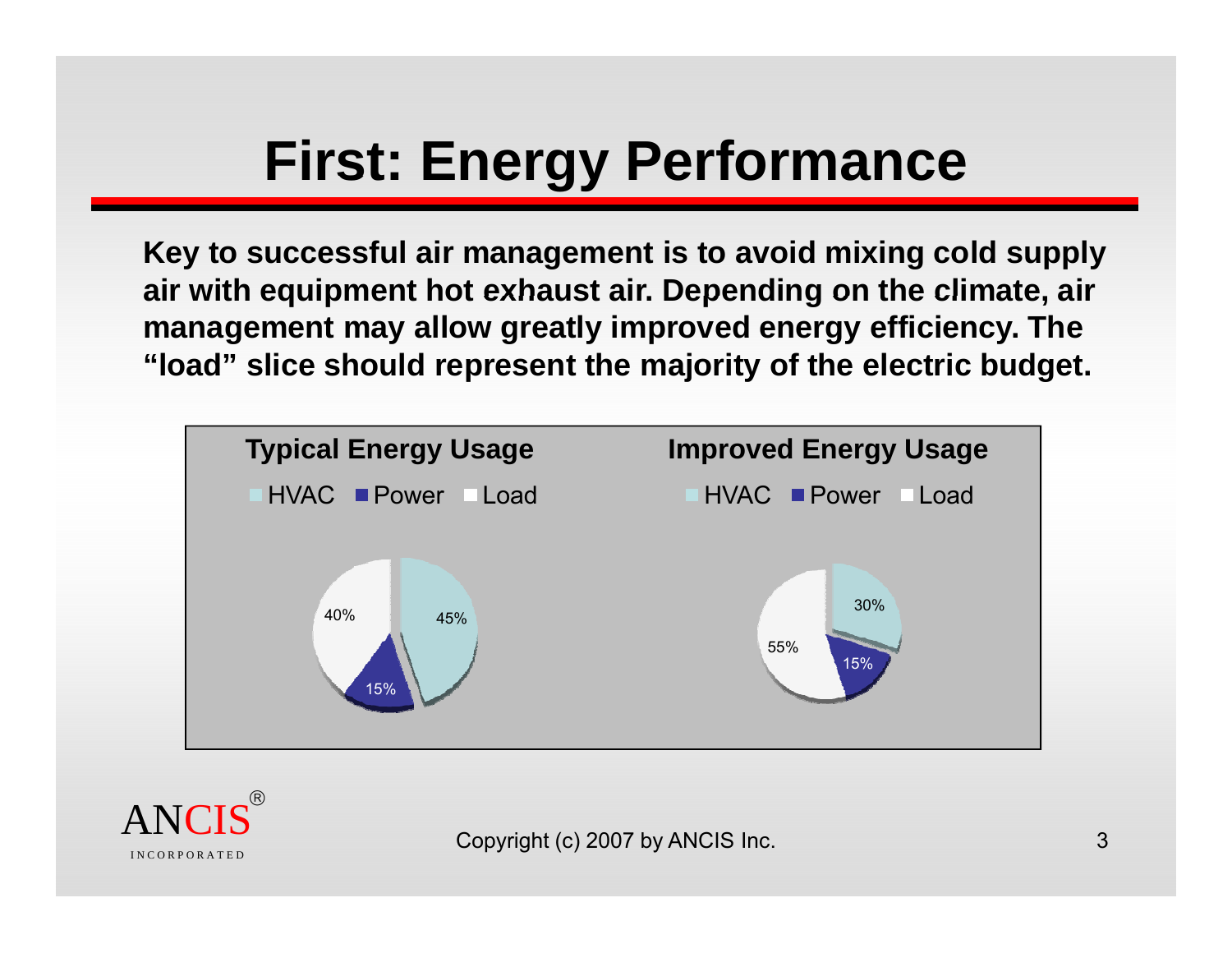# **First: Energy Performance**

**Key to successful air management is to avoid mixing cold supply**  air with equipment hot exhaust air. Depending on the climate, air **management may allow greatly improved energy efficiency. The "load" slice should represent the majority of the electric budget.** 

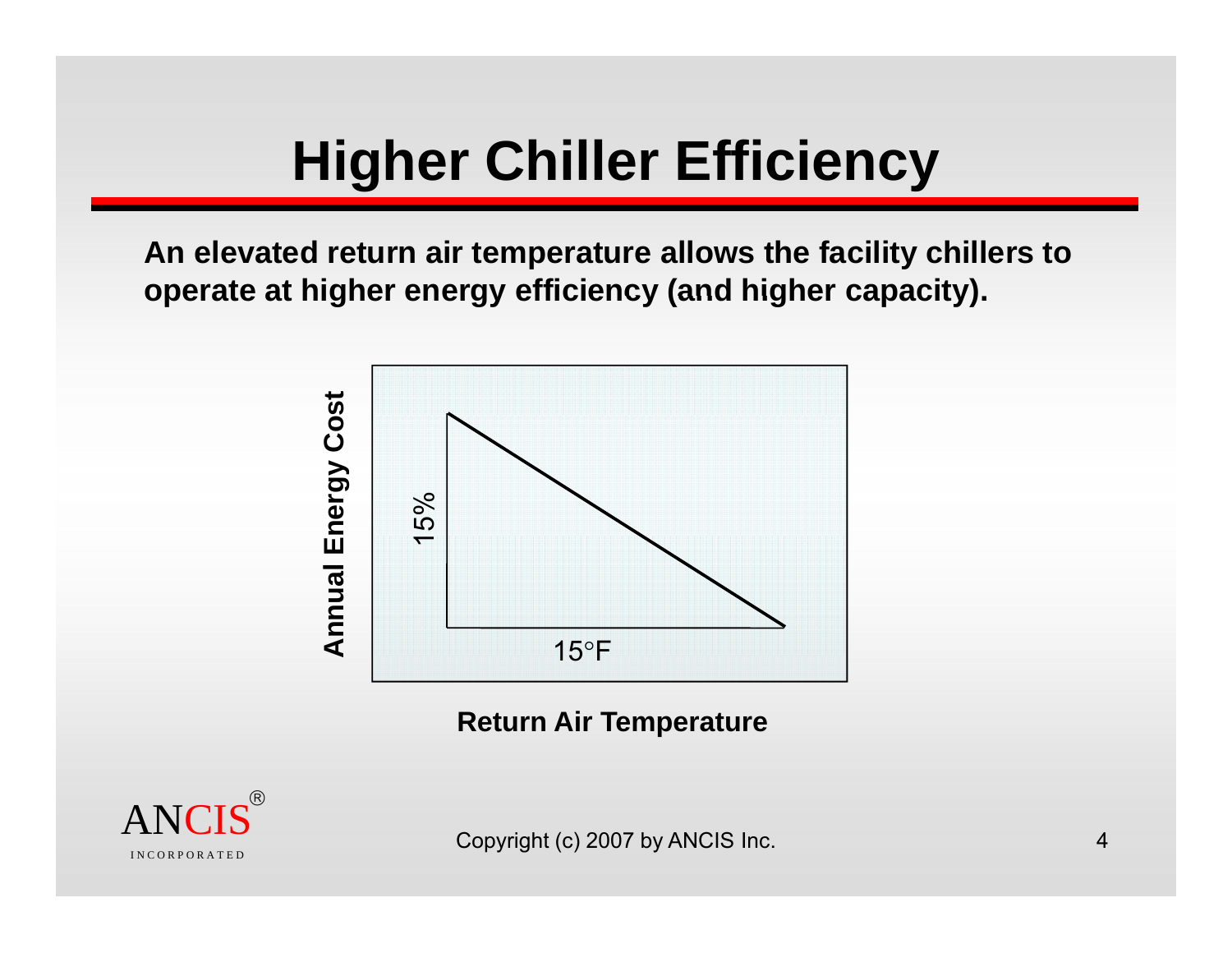# **Higher Chiller Efficiency**

**An elevated return air temperature allows the facility chillers to operate at higher energy efficiency (and higher capacity) capacity).**



**Return Air Temperature**

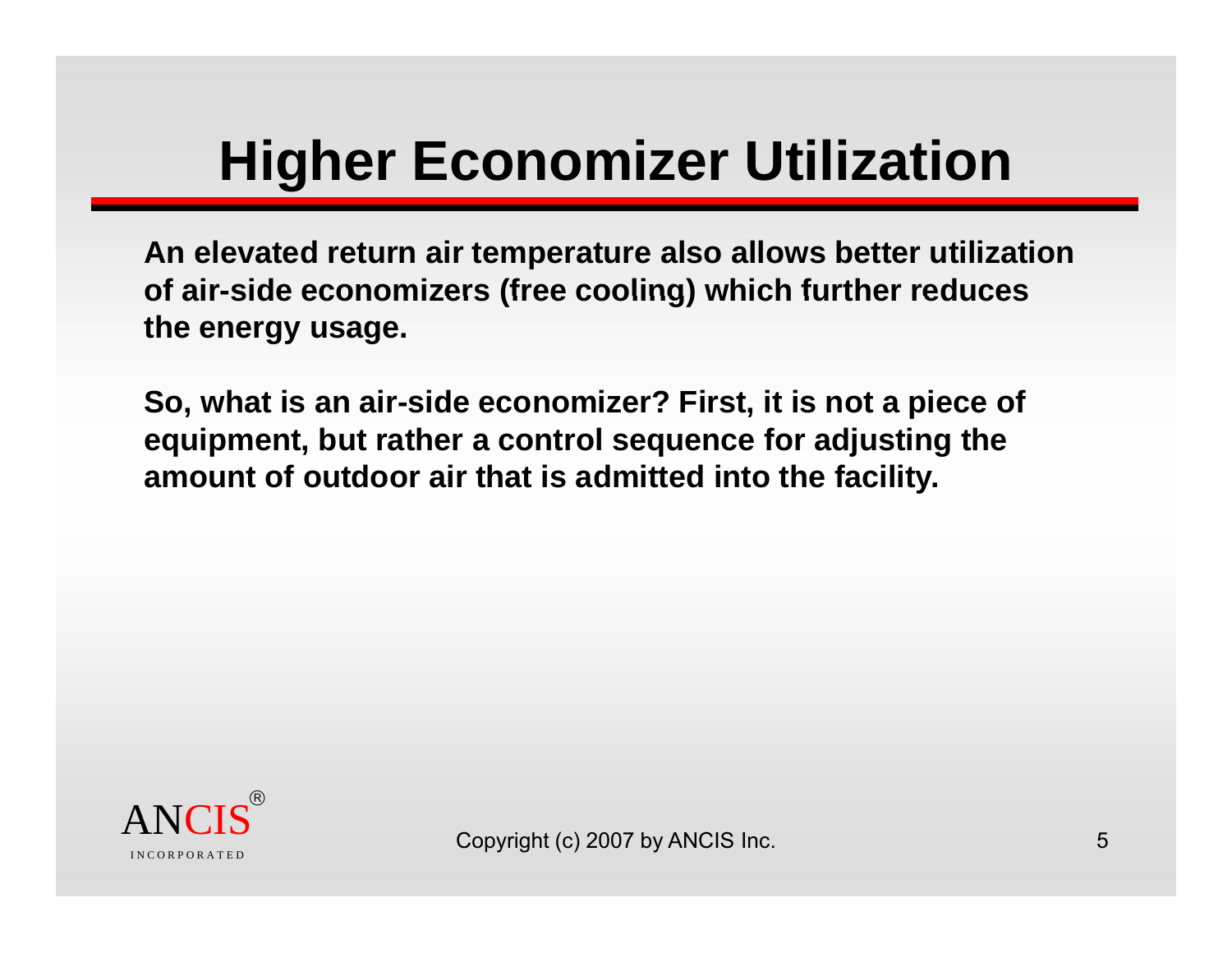# **Higher Economizer Utilization**

**An elevated return air temperature also allows better utilization of air -side economizers (free cooling) which further reduces side which reduces the energy usage.** 

So, what is an air-side economizer? First, it is not a piece of **equipment, but rather a control sequence for adjusting the amount of outdoor air that is admitted into the facility.**

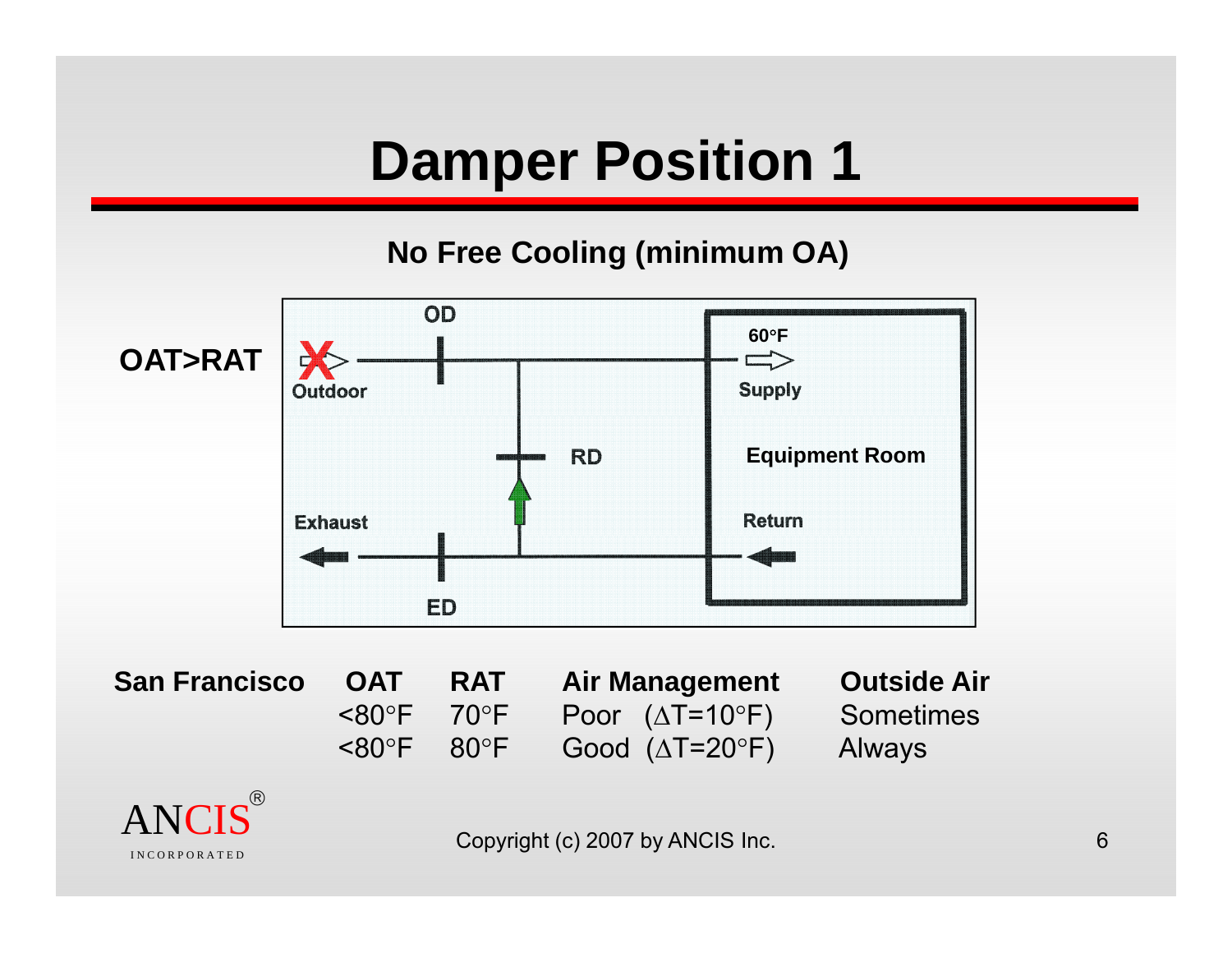#### **Damper Position 1**

#### **No Free Cooling (minimum OA)**



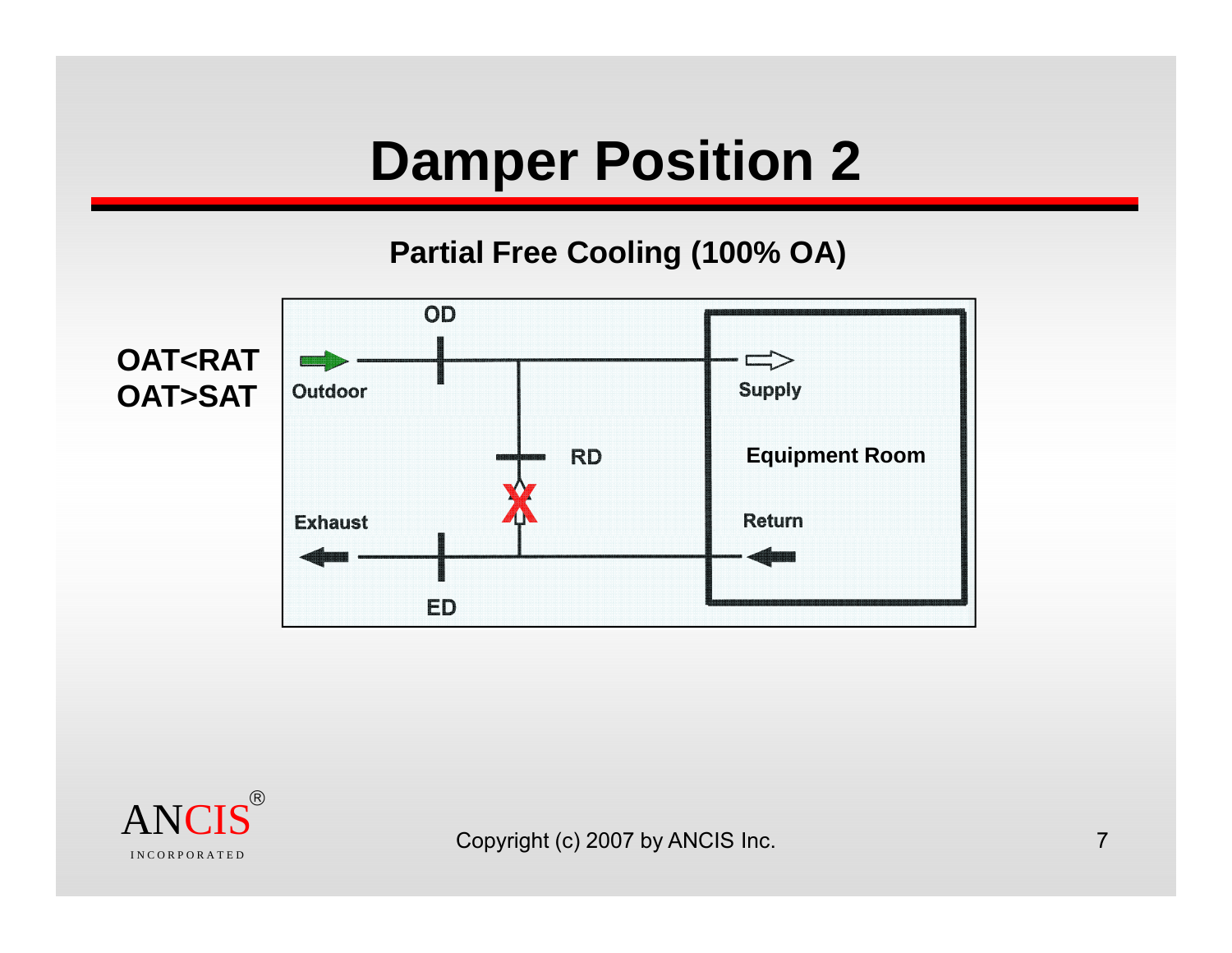### **Damper Position 2**

#### **Partial Free Cooling (100% OA)**



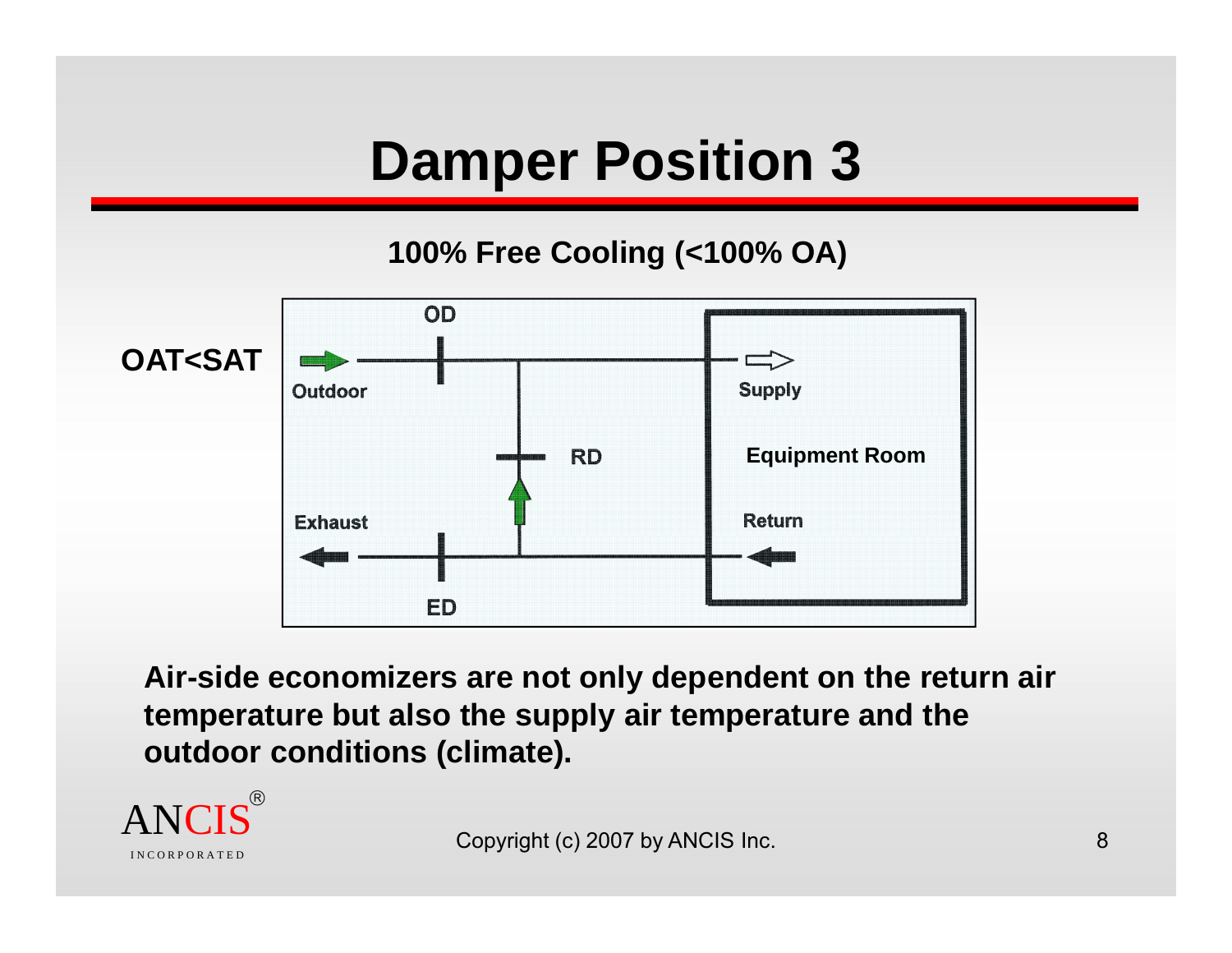### **Damper Position 3**

**100% Free Cooling (<100% OA)**



**Air-side economizers are not only dependent on the return air temperature but also the supply air temperature and the outdoor conditions (climate).**

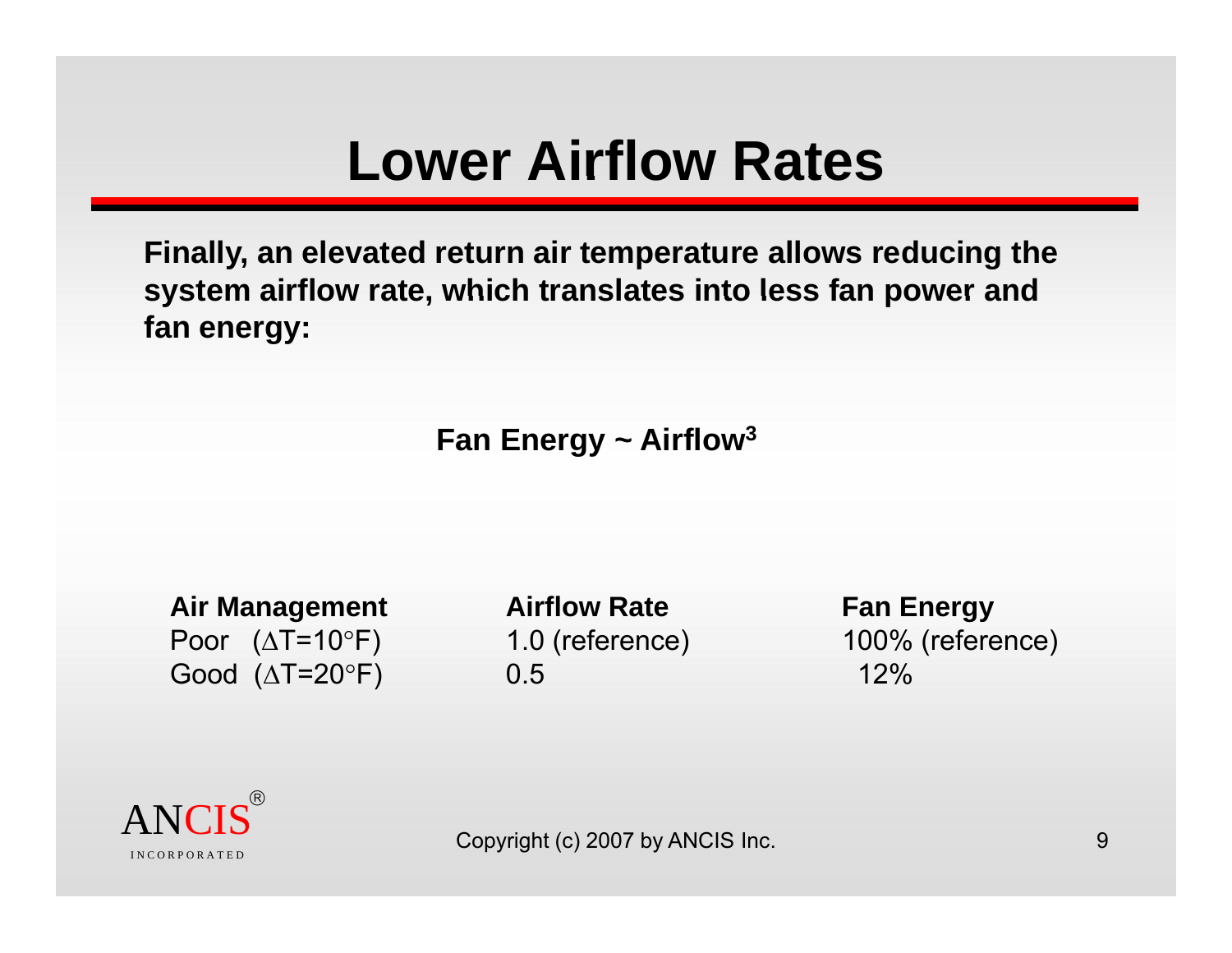#### **Lower Airflow Rates**

**Finally, an elevated return air temperature allows reducing the**  system airflow rate, which translates into less fan power and **fan energy:**

**Fan Energy ~ Airflow 3**

**Air Management Airflow Rate Fan Energy** Poor (ΔT=10 °Good ( ΔT=20

 $^\circ$ F) 0.5 12%

1.0 (reference) 100% (reference)

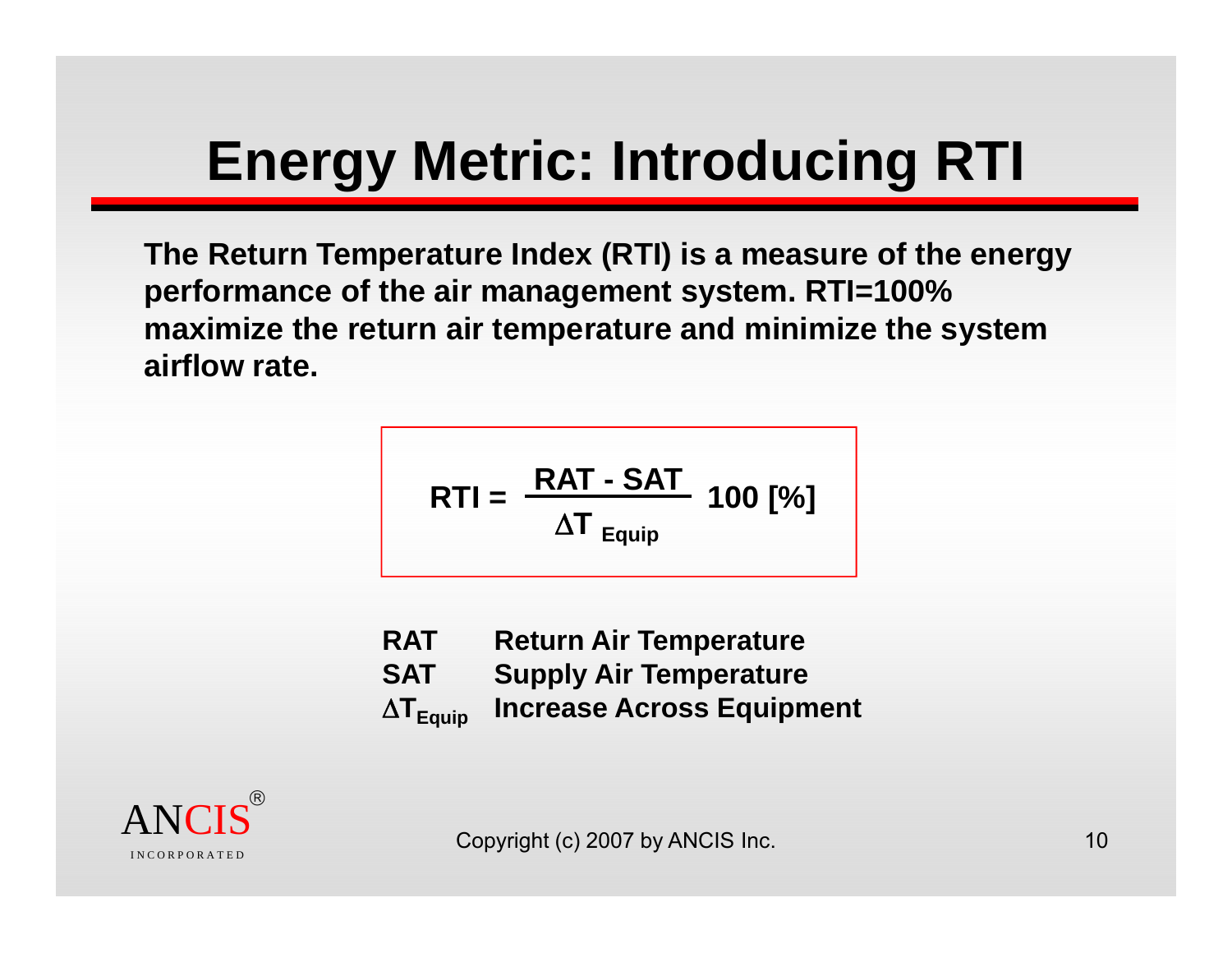# **Energy Metric: Introducing RTI**

**The Return Temperature Index (RTI) is a measure of the energy performance of the air management system RTI=100% system. maximize the return air temperature and minimize the system airflow rate.**

$$
RTI = \frac{RAT - SAT}{\Delta T_{\text{Equip}}} 100 [%]
$$

**RAT Return Air Temperature SAT Supply Air Temperature** Δ **Increase Across Equipment** 

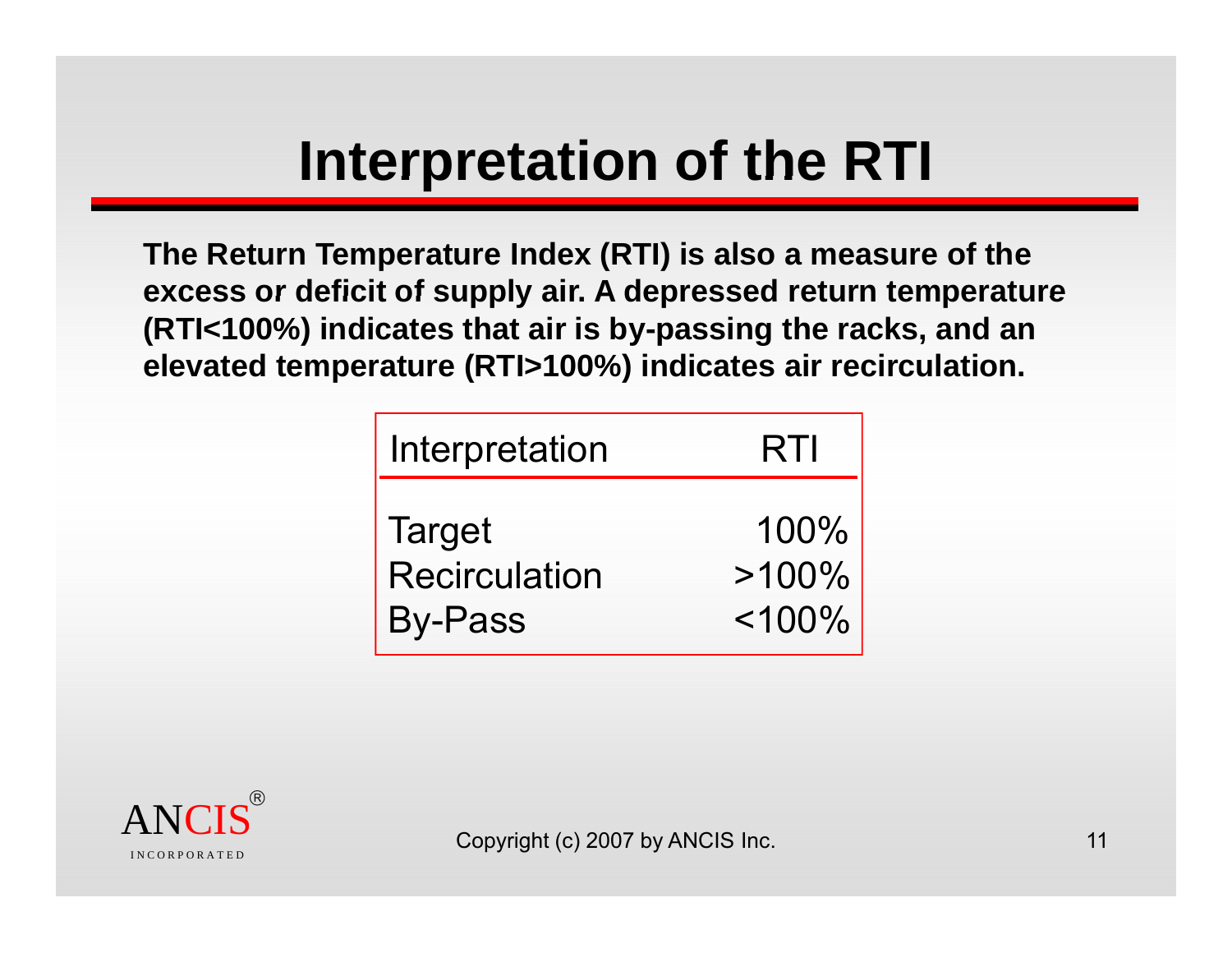# **Interpretation of the RTI**

**The Return Temperature Index (RTI) is also a measure of the excess or deficit of supply air A depressed return temperature arity of the controller and the controller external estimate index (RTI) is also a**<br>S or deficit of supply air. A depressed r **(RTI<100%) indicates that air is by-passing the racks, and an elevated temperature (RTI>100%) indicates air recirculation.**

| Interpretation       | RTI          |
|----------------------|--------------|
| <b>Target</b>        | 100%         |
| <b>Recirculation</b> | $>100\%$     |
| <b>By-Pass</b>       | $<$ 100% $<$ |

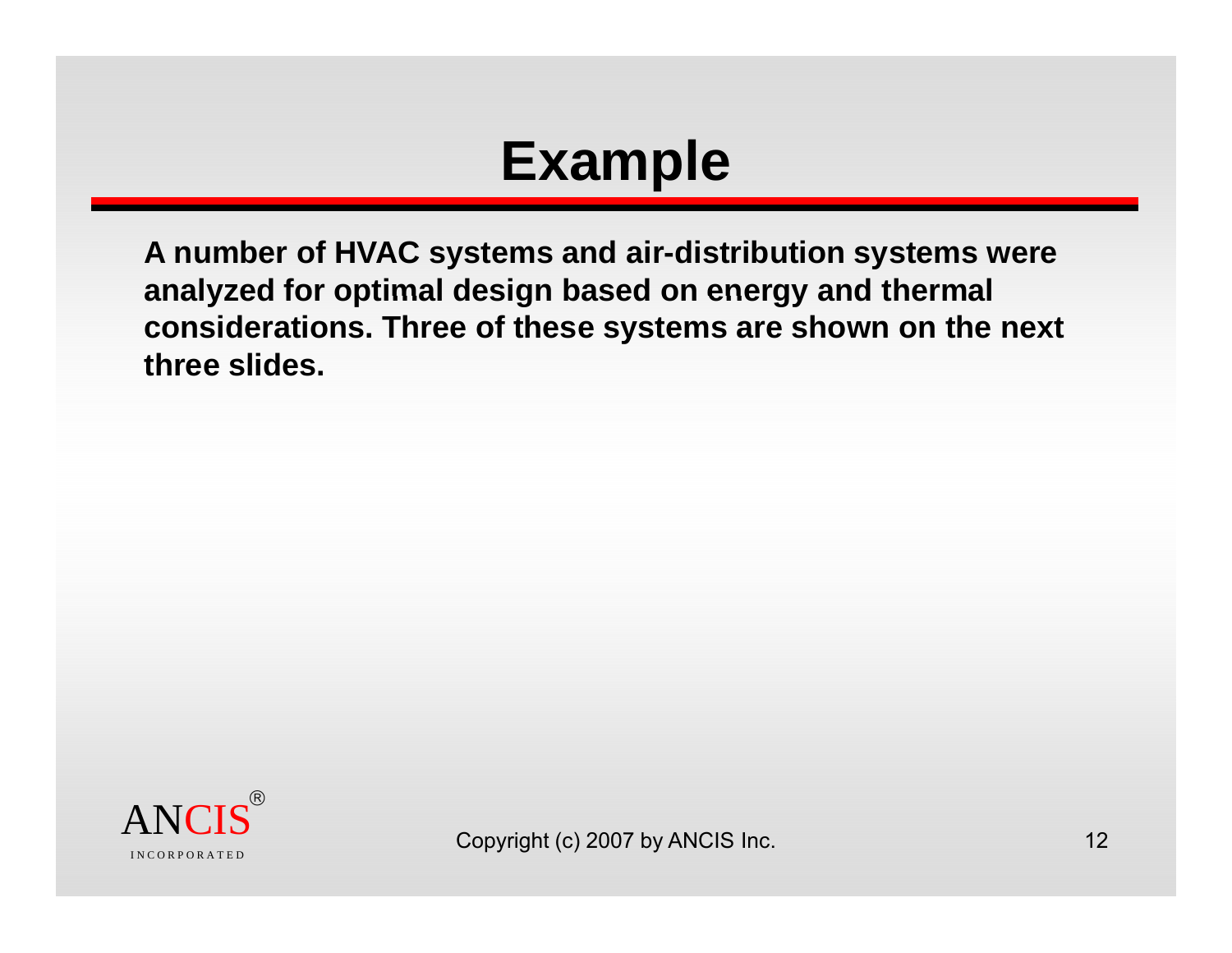### **Example**

**A number of HVAC systems and air-distribution systems were analyzed for optimal design based on energy and thermal considerations. Three of these systems are shown on the next three slides.**

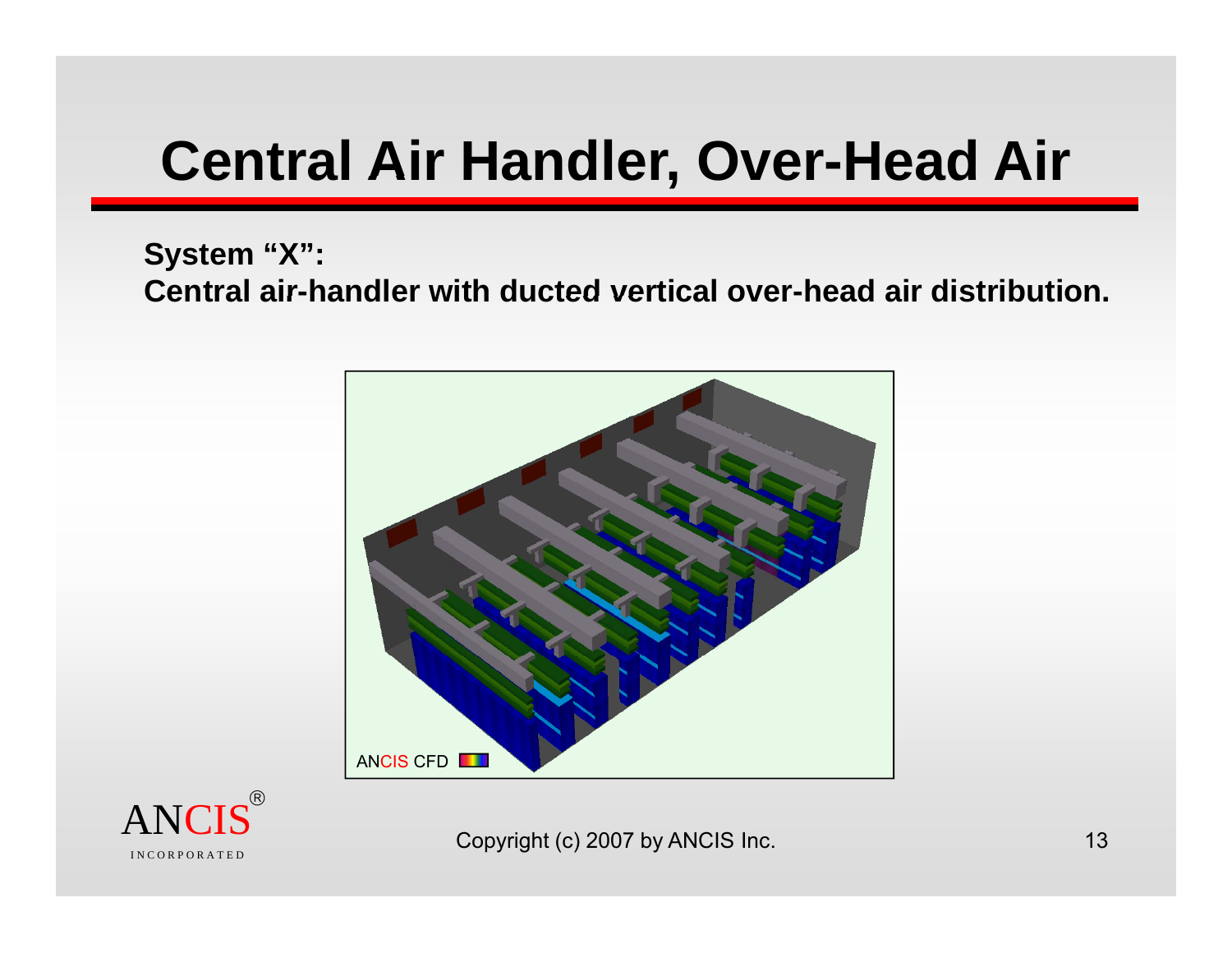### **Central Air Handler, Over-Head Air**

#### **System "X":**  Central air-handler with ducted vertical over-head air distribution.



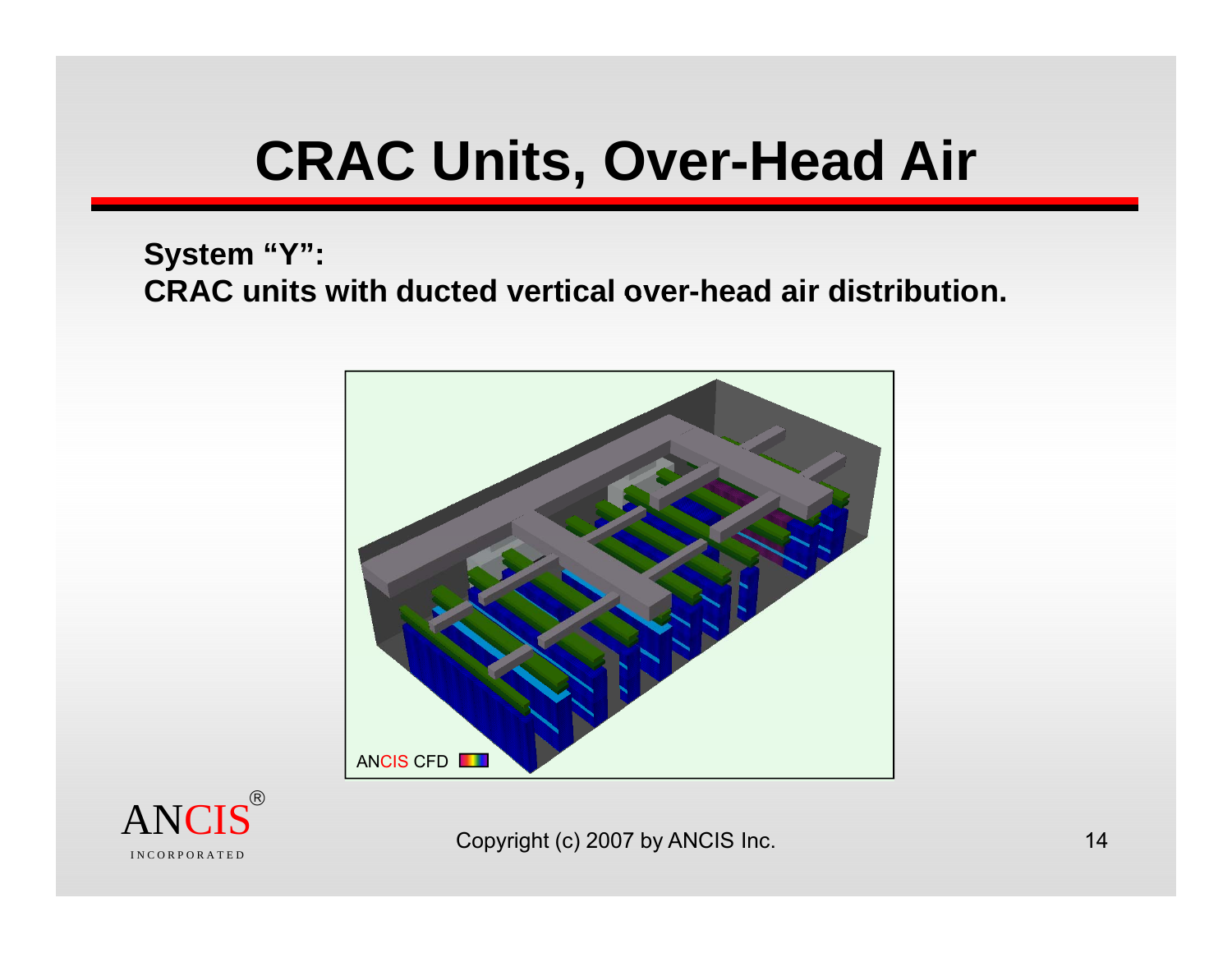# **CRAC** Units, Over-Head Air

#### **System "Y": CRAC units with ducted vertical over -head air distribution head distribution.**



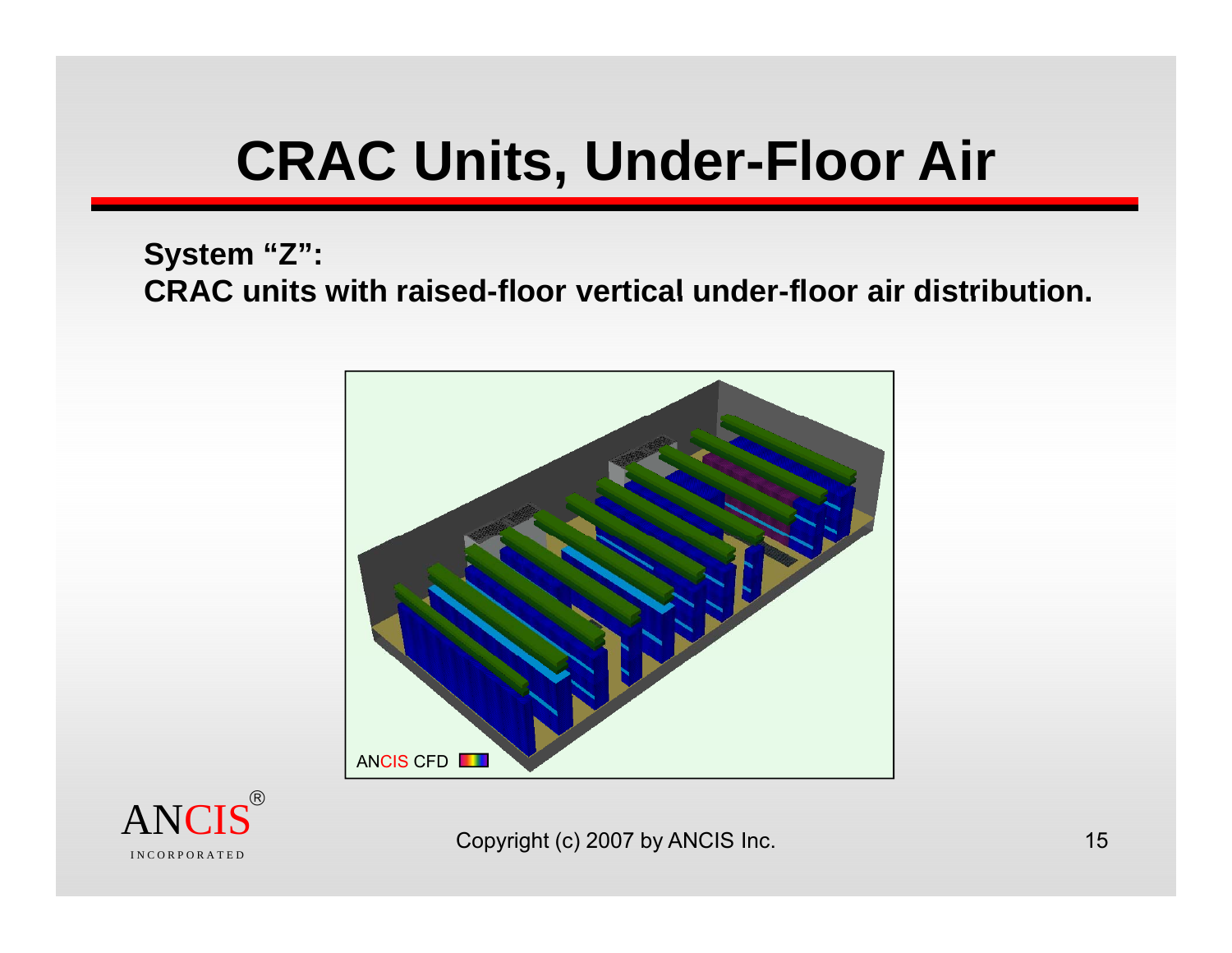# **CRAC Units, Under-Floor Air**

#### **System "Z":**  CRAC units with raised-floor vertical under-floor air distribution.



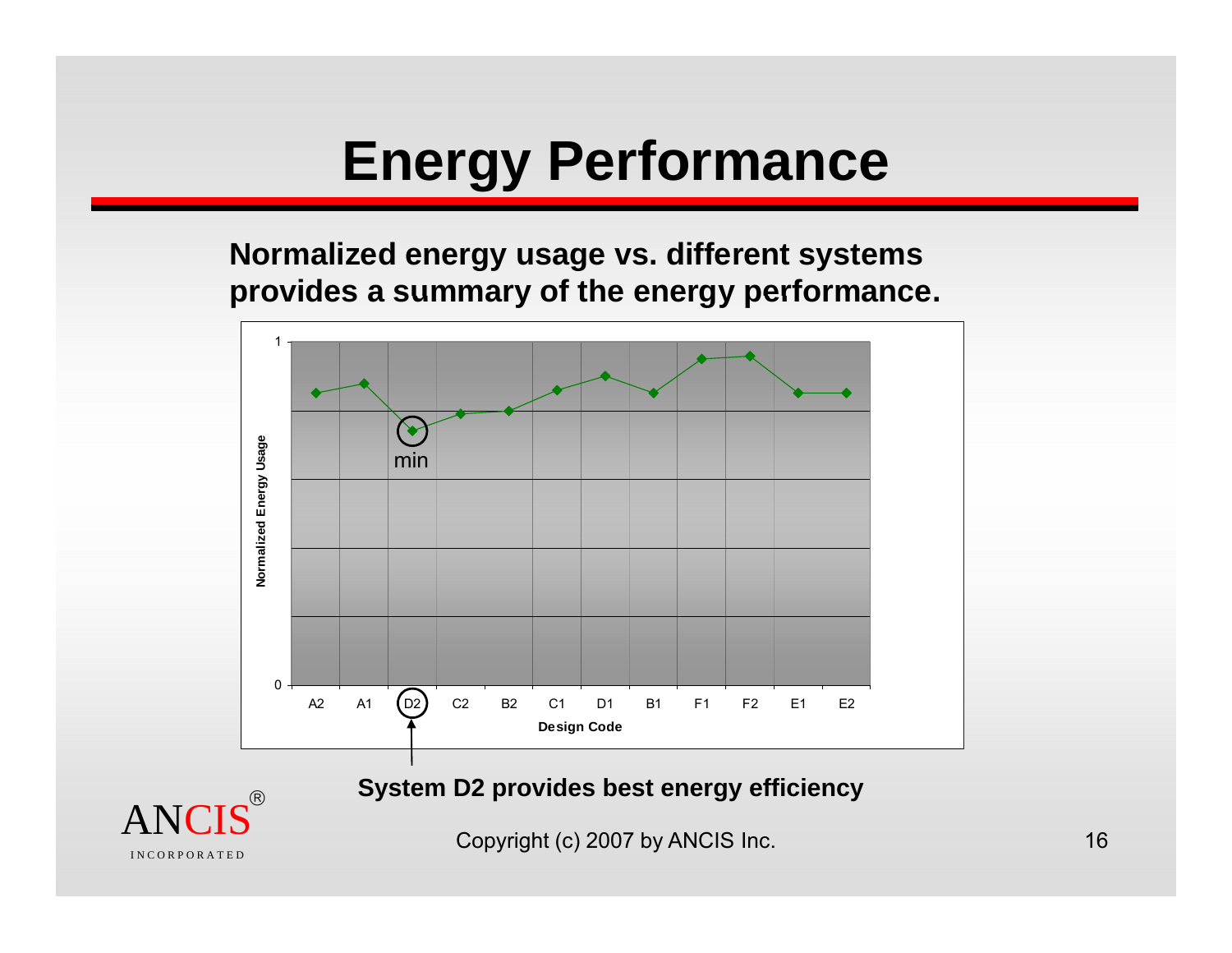# **Energy Performance**

**Normalized energy usage vs. different systems provides <sup>a</sup> summary of the energy performance performance.**



**System D2 provides best energy efficiency**



Copyright (c) 2007 by ANCIS Inc. 16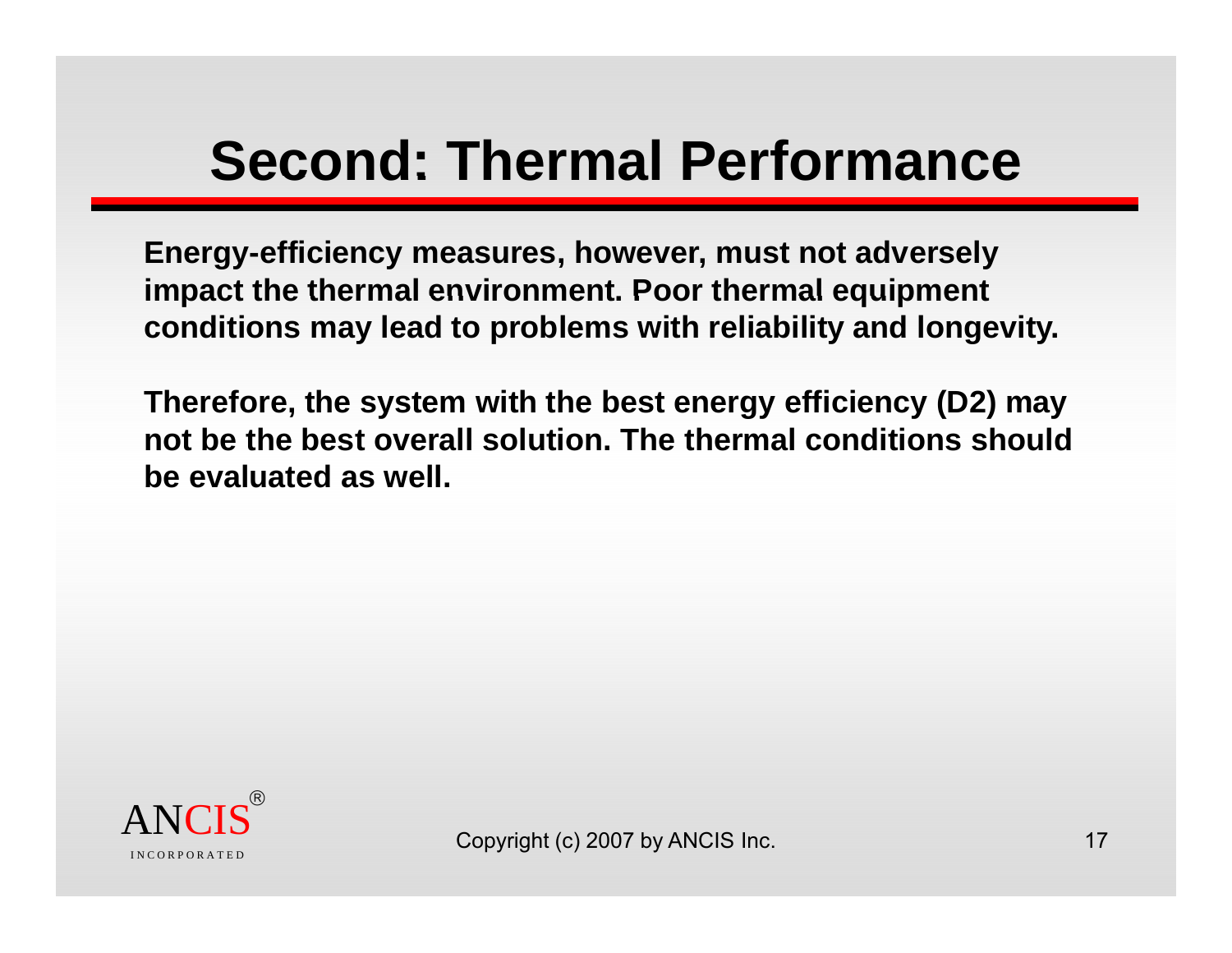# **Second: Thermal Performance**

**Energy-efficiency measures, however, must not adversely impact the thermal environment Poor thermal equipment environment. thermal conditions may lead to problems with reliability and longevity.**

**Therefore, y gy y ( ) y the s ystem with the best energy efficienc (D2 ) ma y not be the best overall solution. The thermal conditions should be evaluated as well.**

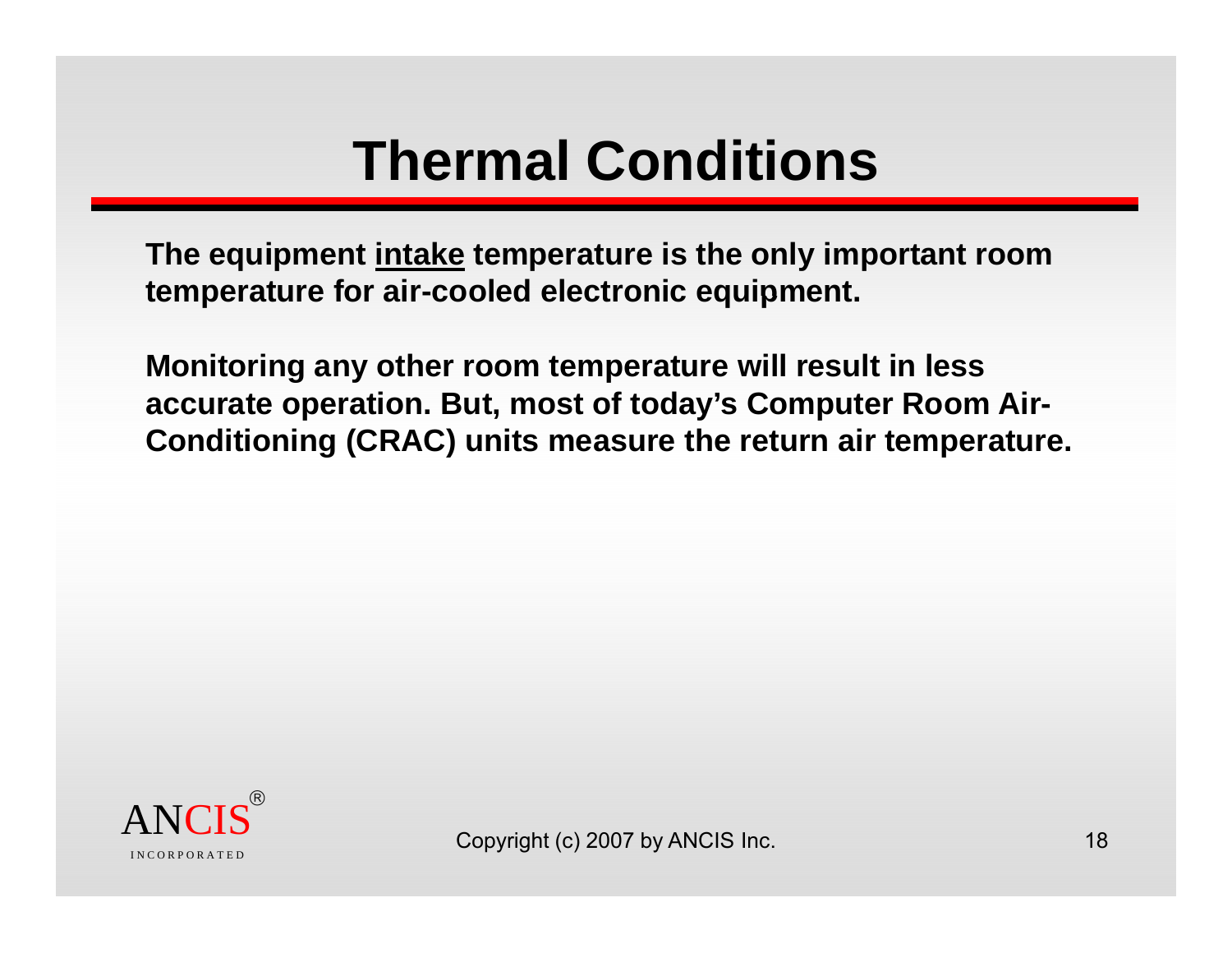# **Thermal Conditions Conditions**

**The equipment intake temperature is the only important room temperature for air -cooled electronic equipment equipment.** 

**Monitoring any other room temperature will result in less**  accurate operation. But, most of today's Computer Room Air-**Conditioning (CRAC) units measure the return air temperature.** 

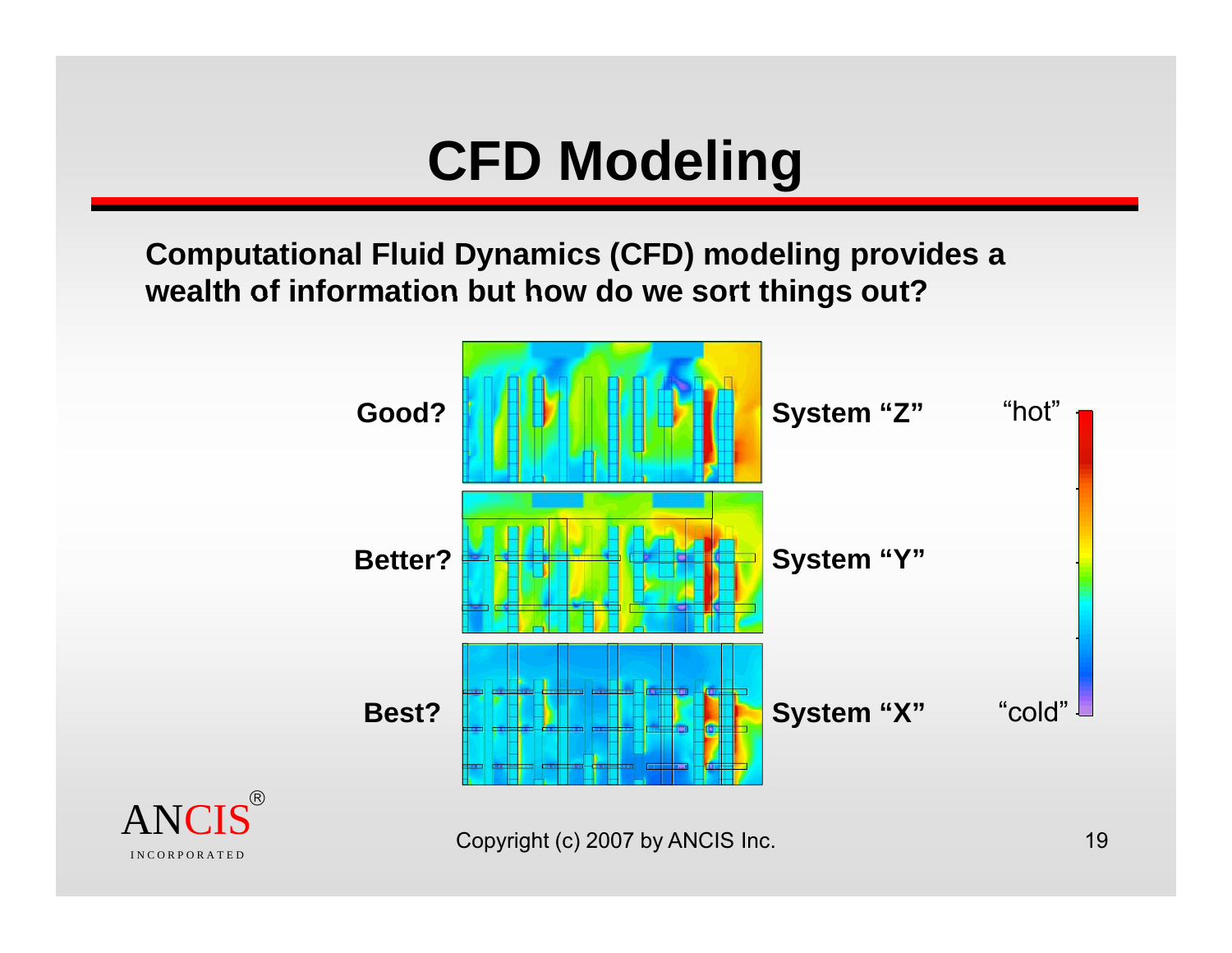# **CFD Modeling**

**Computational Fluid Dynamics (CFD) modeling provides a wealth of information but how do we sort things out?** 

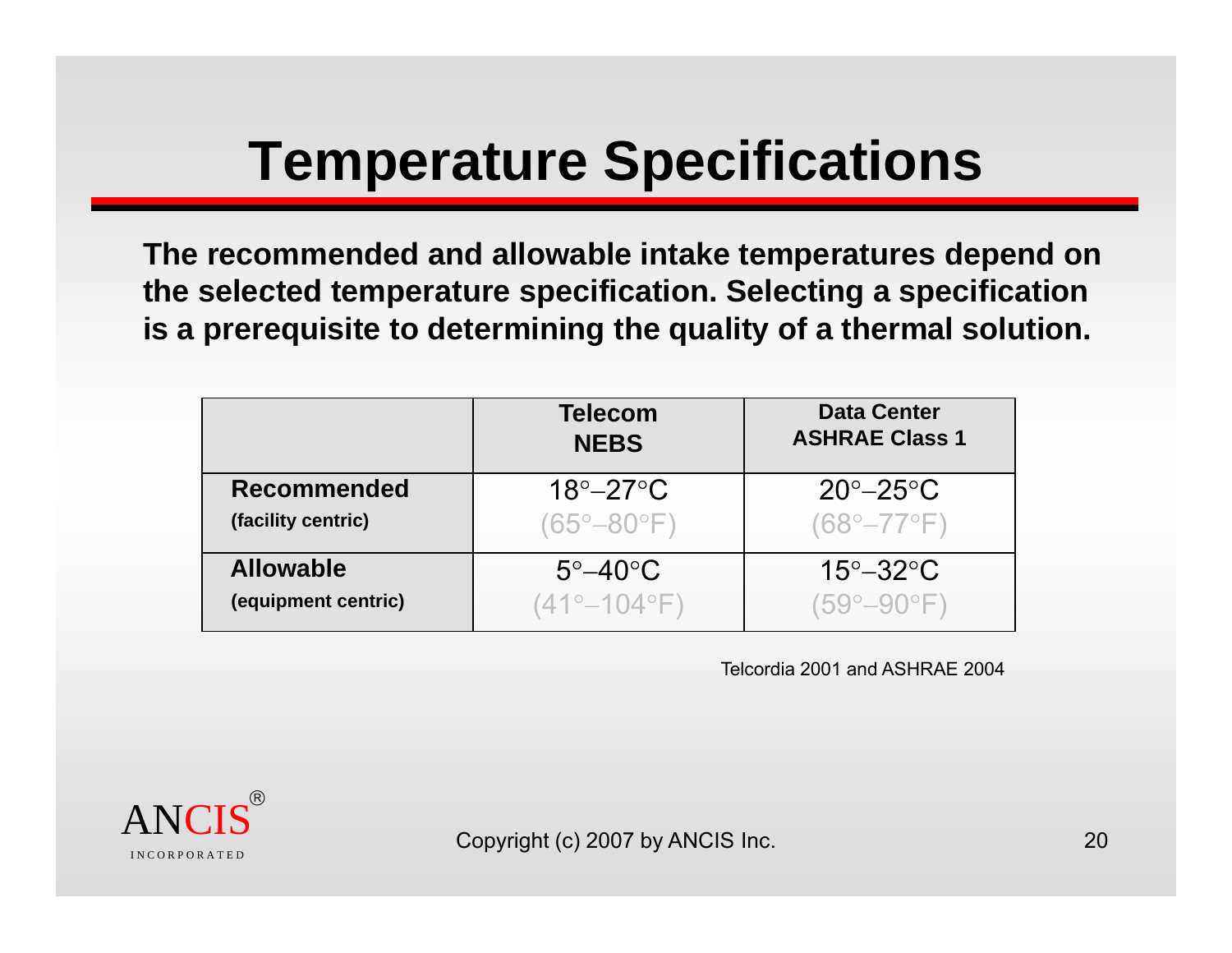# **Temperature Specifications**

**The recommended and allowable intake temperatures depend on the selected temperature specification Selecting <sup>a</sup> specification specification. is a prerequisite to determining the quality of a thermal solution.**

|                     | <b>Telecom</b><br><b>NEBS</b> | <b>Data Center</b><br><b>ASHRAE Class 1</b> |
|---------------------|-------------------------------|---------------------------------------------|
| <b>Recommended</b>  | $18^\circ - 27^\circ$ C       | $20^\circ - 25^\circ \text{C}$              |
| (facility centric)  | (65°–80°F)                    | $(68^{\circ} - 77^{\circ}F)$                |
| <b>Allowable</b>    | $5^\circ - 40^\circ C$        | $15^\circ - 32^\circ C$                     |
| (equipment centric) | $(41^{\circ}-104^{\circ}F)$   | $(59^{\circ}-90^{\circ}F)$                  |

Telcordia 2001 and ASHRAE 2004

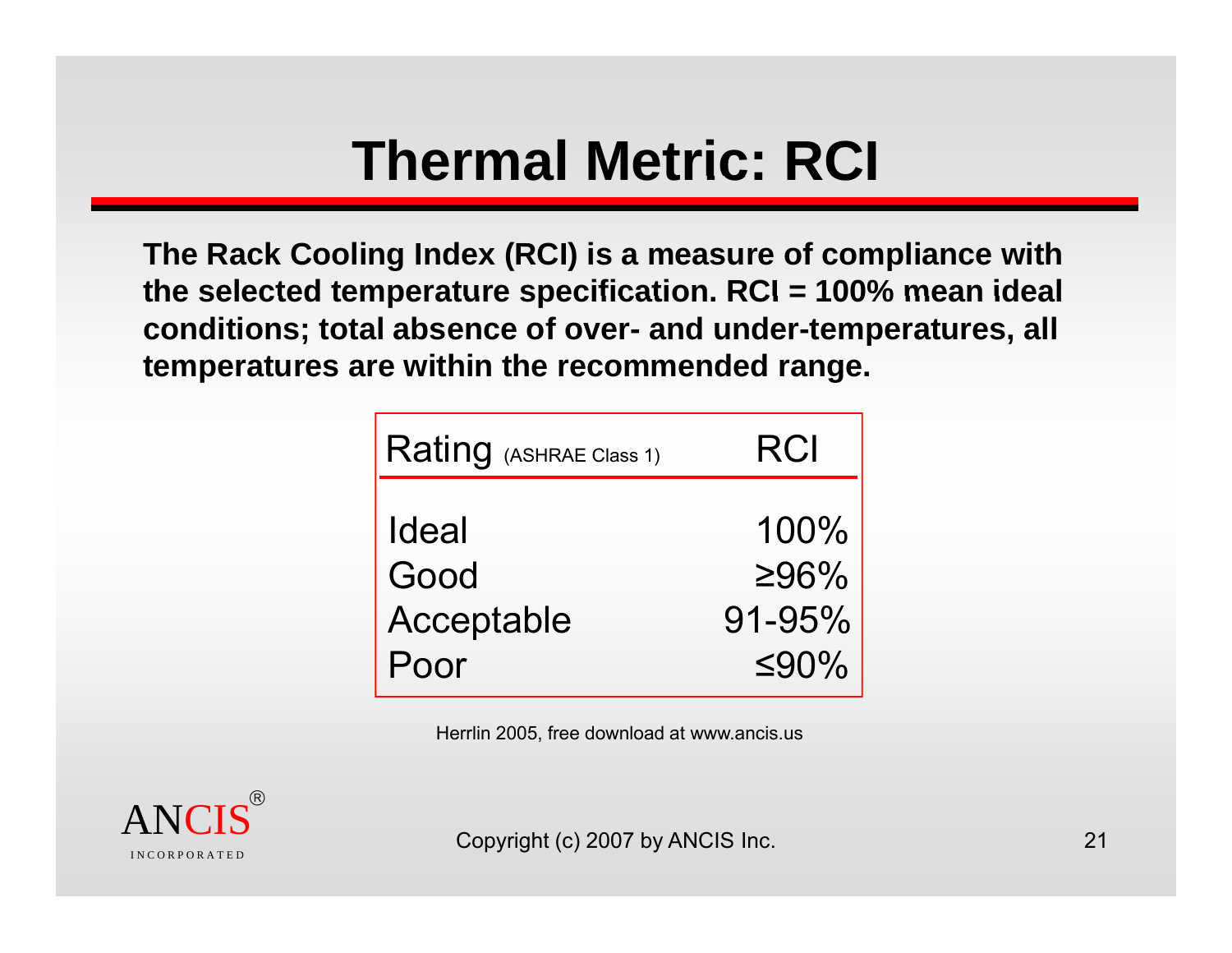### **Thermal Metric: RCI**

**The Rack Cooling Index (RCI) is a measure of compliance with the selected temperature specification RCI <sup>=</sup> 100% mean ideal 100%Figure 2016**<br>The Rack Cooling Index (RCI) is a measure<br>The Selected temperature specification. RCI **mean idealconditions; total absence of over- and under-temperatures, all temperatures are within the recommended range.** 

| Rating (ASHRAE Class 1) | RCI             |
|-------------------------|-----------------|
| <b>Ideal</b><br>Good    | 100%<br>$>96\%$ |
| Acceptable              | 91-95%          |
| Poor                    | ≤90%            |

Herrlin 2005, free download at www.ancis.us

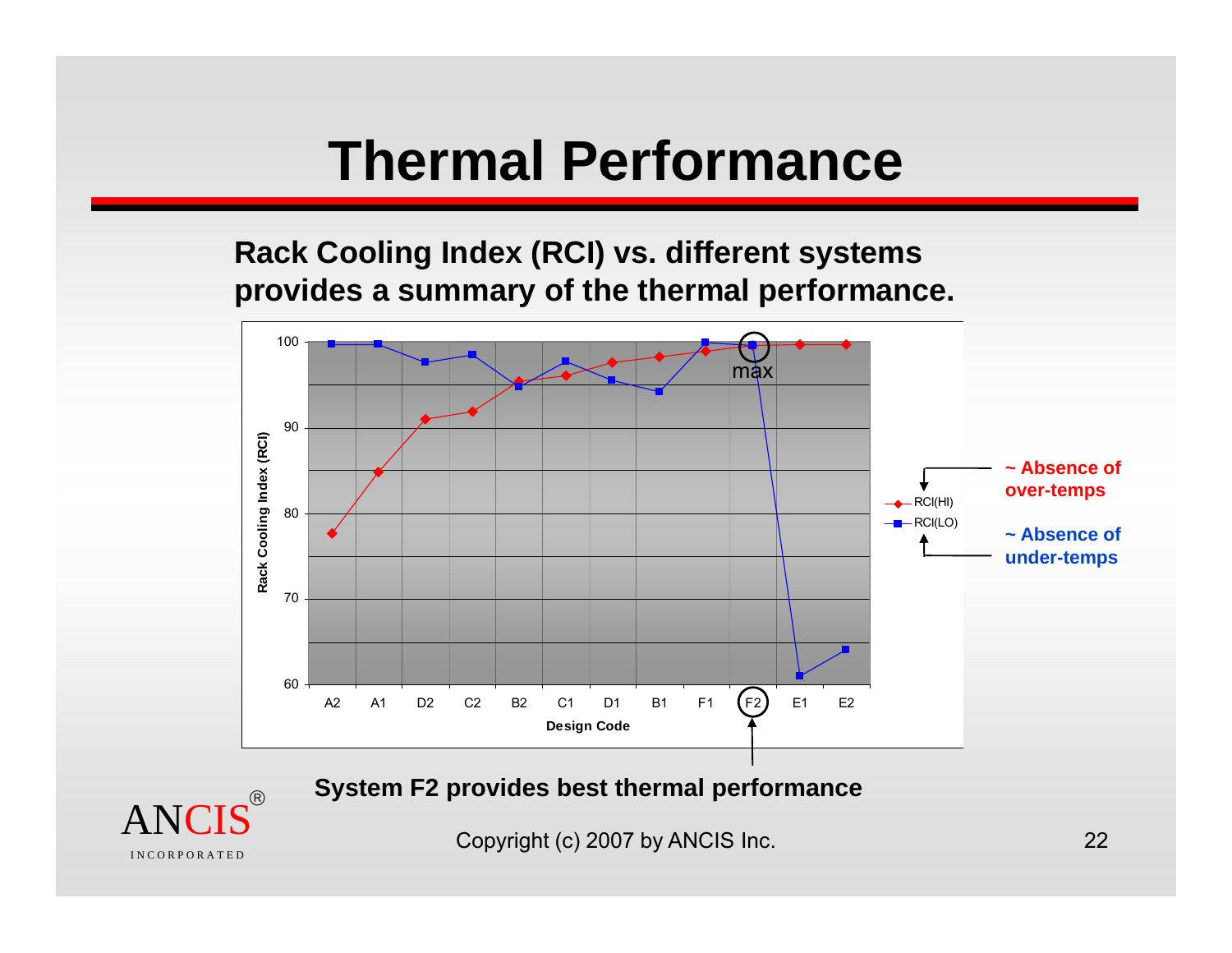#### **Thermal Performance**

**Rack Cooling Index (RCI) vs. different systems provides <sup>a</sup> summary of the thermal performance performance.**



**System F2 provides best thermal performance**



Copyright (c) 2007 by ANCIS Inc. 22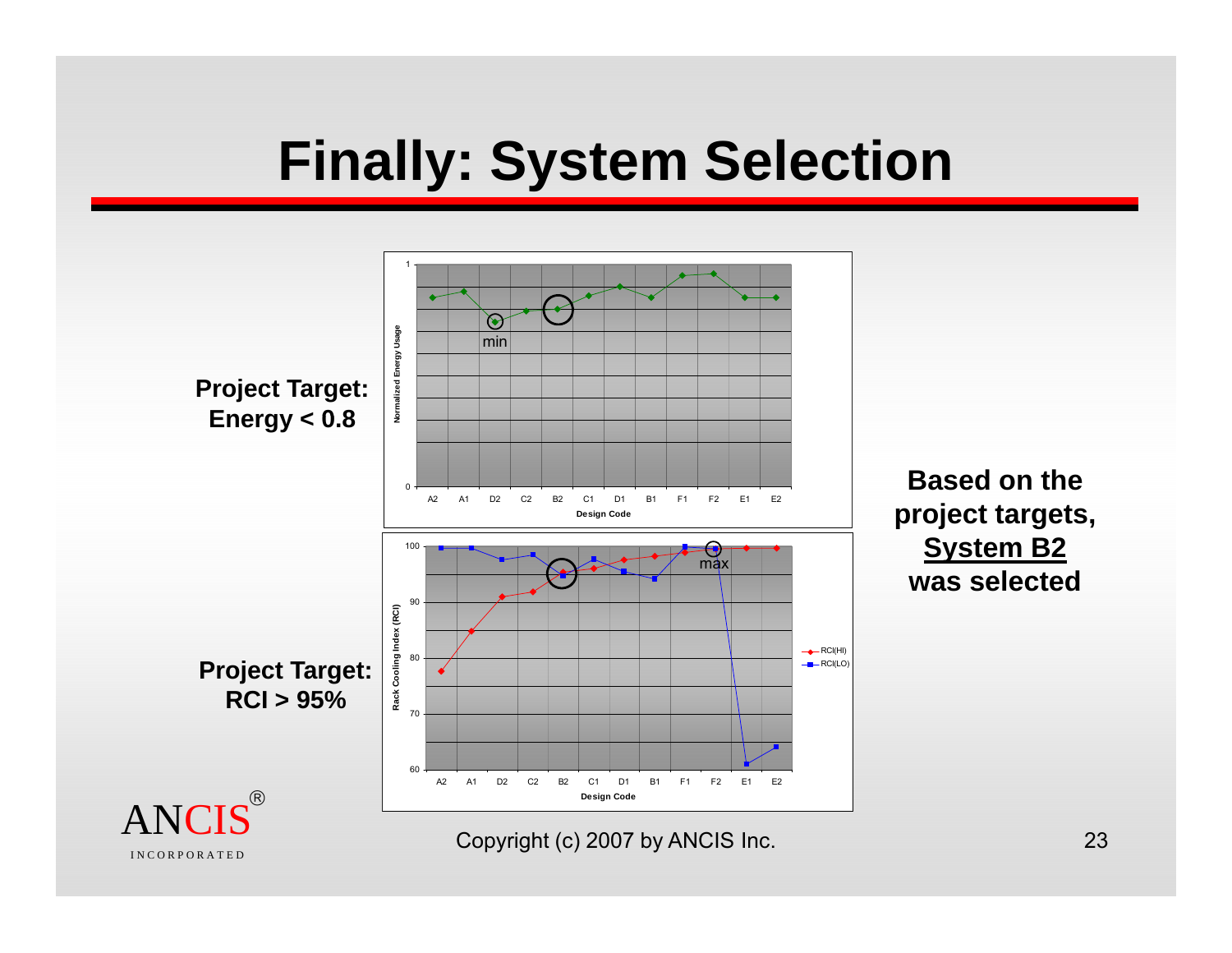#### **Finally: System Selection**

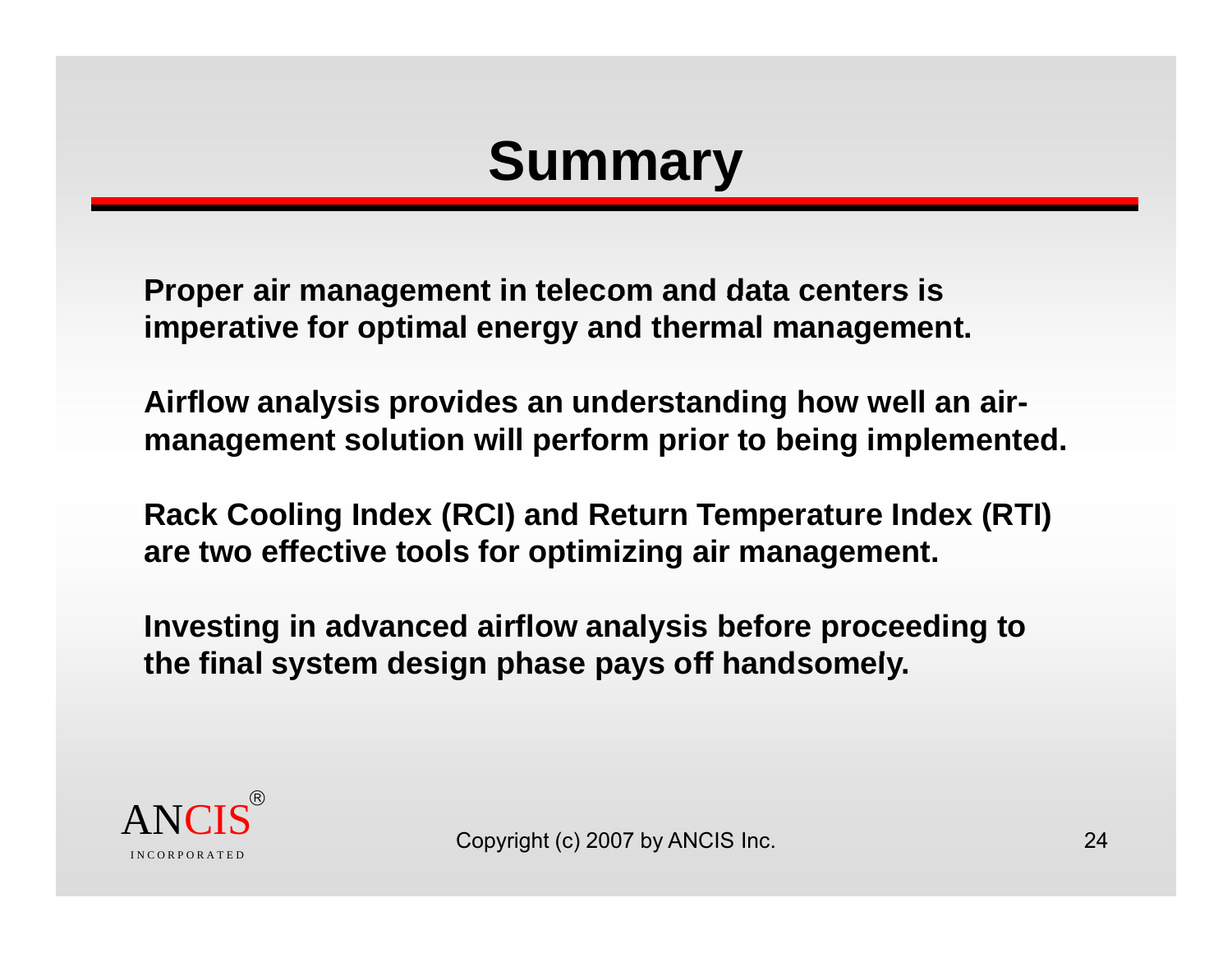### **Summary**

**Proper air management in telecom and data centers is imperative for optimal energy and thermal management.**

Airflow analysis provides an understanding how well an air**management solution will perform prior to being implemented.**

**Rack Cooling Index (RCI) and Return Temperature Index (RTI) are two effective tools for optimizing air management.**

**Investing in advanced airflow analysis before proceeding to**  the final system design phase pays off handsomely.